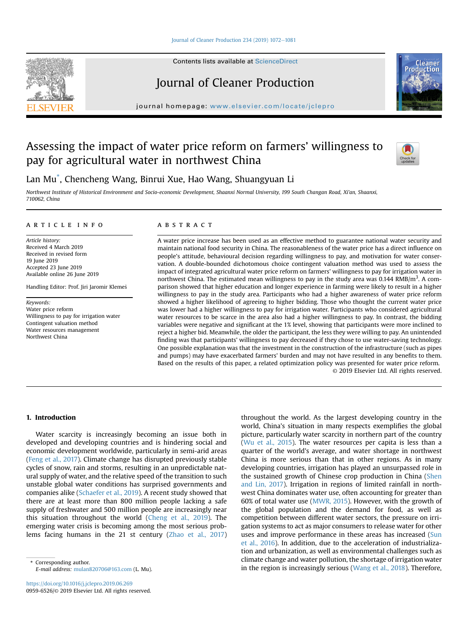## [Journal of Cleaner Production 234 \(2019\) 1072](https://doi.org/10.1016/j.jclepro.2019.06.269)-[1081](https://doi.org/10.1016/j.jclepro.2019.06.269)

Contents lists available at ScienceDirect

# Journal of Cleaner Production

journal homepage: [www.elsevier.com/locate/jclepro](http://www.elsevier.com/locate/jclepro)

## Assessing the impact of water price reform on farmers' willingness to pay for agricultural water in northwest China



Lan Mu\* , Chencheng Wang, Binrui Xue, Hao Wang, Shuangyuan Li

Northwest Institute of Historical Environment and Socio-economic Development, Shaanxi Normal University, 199 South Changan Road, Xi'an, Shaanxi, 710062, China

## article info

Article history: Received 4 March 2019 Received in revised form 19 June 2019 Accepted 23 June 2019 Available online 26 June 2019

Handling Editor: Prof. Jiri Jaromir Klemes

Keywords: Water price reform Willingness to pay for irrigation water Contingent valuation method Water resources management Northwest China

## ABSTRACT

A water price increase has been used as an effective method to guarantee national water security and maintain national food security in China. The reasonableness of the water price has a direct influence on people's attitude, behavioural decision regarding willingness to pay, and motivation for water conservation. A double-bounded dichotomous choice contingent valuation method was used to assess the impact of integrated agricultural water price reform on farmers' willingness to pay for irrigation water in northwest China. The estimated mean willingness to pay in the study area was  $0.144 \text{ RMB/m}^3$ . A comparison showed that higher education and longer experience in farming were likely to result in a higher willingness to pay in the study area. Participants who had a higher awareness of water price reform showed a higher likelihood of agreeing to higher bidding. Those who thought the current water price was lower had a higher willingness to pay for irrigation water. Participants who considered agricultural water resources to be scarce in the area also had a higher willingness to pay. In contrast, the bidding variables were negative and significant at the 1% level, showing that participants were more inclined to reject a higher bid. Meanwhile, the older the participant, the less they were willing to pay. An unintended finding was that participants' willingness to pay decreased if they chose to use water-saving technology. One possible explanation was that the investment in the construction of the infrastructure (such as pipes and pumps) may have exacerbated farmers' burden and may not have resulted in any benefits to them. Based on the results of this paper, a related optimization policy was presented for water price reform. © 2019 Elsevier Ltd. All rights reserved.

## 1. Introduction

Water scarcity is increasingly becoming an issue both in developed and developing countries and is hindering social and economic development worldwide, particularly in semi-arid areas ([Feng et al., 2017](#page-9-0)). Climate change has disrupted previously stable cycles of snow, rain and storms, resulting in an unpredictable natural supply of water, and the relative speed of the transition to such unstable global water conditions has surprised governments and companies alike ([Schaefer et al., 2019](#page-9-0)). A recent study showed that there are at least more than 800 million people lacking a safe supply of freshwater and 500 million people are increasingly near this situation throughout the world ([Cheng et al., 2019](#page-9-0)). The emerging water crisis is becoming among the most serious problems facing humans in the 21 st century ([Zhao et al., 2017\)](#page-9-0)

E-mail address: [mulan820706@163.com](mailto:mulan820706@163.com) (L. Mu).

throughout the world. As the largest developing country in the world, China's situation in many respects exemplifies the global picture, particularly water scarcity in northern part of the country ([Wu et al., 2015\)](#page-9-0). The water resources per capita is less than a quarter of the world's average, and water shortage in northwest China is more serious than that in other regions. As in many developing countries, irrigation has played an unsurpassed role in the sustained growth of Chinese crop production in China [\(Shen](#page-9-0) [and Lin, 2017\)](#page-9-0). Irrigation in regions of limited rainfall in northwest China dominates water use, often accounting for greater than 60% of total water use [\(MWR, 2015](#page-9-0)). However, with the growth of the global population and the demand for food, as well as competition between different water sectors, the pressure on irrigation systems to act as major consumers to release water for other uses and improve performance in these areas has increased ([Sun](#page-9-0) [et al., 2016](#page-9-0)). In addition, due to the acceleration of industrialization and urbanization, as well as environmental challenges such as climate change and water pollution, the shortage of irrigation water Corresponding author.<br>in the region is increasingly serious ([Wang et al., 2018](#page-9-0)). Therefore, \* Corresponding author.<br>in the region is increasingly serious (Wang et al., 2018). Therefore,



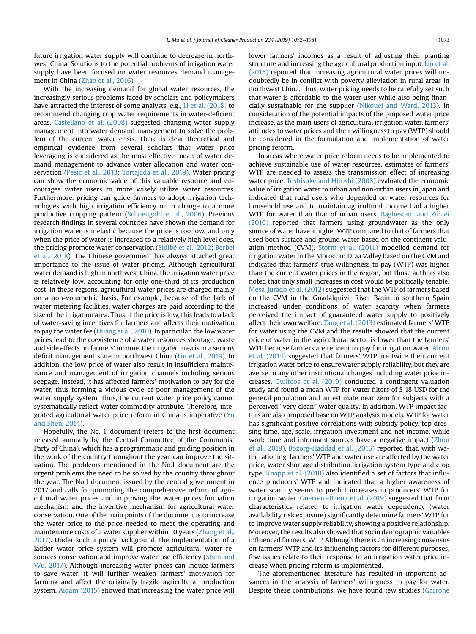future irrigation water supply will continue to decrease in northwest China. Solutions to the potential problems of irrigation water supply have been focused on water resources demand management in China ([Zhao et al., 2016\)](#page-9-0).

With the increasing demand for global water resources, the increasingly serious problems faced by scholars and policymakers have attracted the interest of some analysts, e.g., [Li et al. \(2018\)](#page-9-0) to recommend changing crop water requirements in water-deficient areas. [Castellano et al. \(2008\)](#page-9-0) suggested changing water supply management into water demand management to solve the problem of the current water crisis. There is clear theoretical and empirical evidence from several scholars that water price leveraging is considered as the most effective mean of water demand management to advance water allocation and water conservation [\(Pesic et al., 2013](#page-9-0); [Tortajada et al., 2019](#page-9-0)). Water pricing can show the economic value of this valuable resource and encourages water users to more wisely utilize water resources. Furthermore, pricing can guide farmers to adopt irrigation technologies with high irrigation efficiency or to change to a more productive cropping pattern ([Schoengold et al., 2006](#page-9-0)). Previous research findings in several countries have shown the demand for irrigation water is inelastic because the price is too low, and only when the price of water is increased to a relatively high level does, the pricing promote water conservation (Sidibé et al., 2012; [Berbel](#page-9-0) [et al., 2018](#page-9-0)). The Chinese government has always attached great importance to the issue of water pricing. Although agricultural water demand is high in northwest China, the irrigation water price is relatively low, accounting for only one-third of its production cost. In these regions, agricultural water prices are charged mainly on a non-volumetric basis. For example, because of the lack of water metering facilities, water charges are paid according to the size of the irrigation area. Thus, if the price is low, this leads to a lack of water-saving incentives for farmers and affects their motivation to pay the water fee ([Huang et al., 2010](#page-9-0)). In particular, the low water prices lead to the coexistence of a water resources shortage, waste and side effects on farmers' income, the irrigated area is in a serious deficit management state in northwest China [\(Liu et al., 2019](#page-9-0)). In addition, the low price of water also result in insufficient maintenance and management of irrigation channels including serious seepage. Instead, it has affected farmers' motivation to pay for the water, thus forming a vicious cycle of poor management of the water supply system. Thus, the current water price policy cannot systematically reflect water commodity attribute. Therefore, integrated agricultural water price reform in China is imperative ([Yu](#page-9-0) [and Shen, 2014](#page-9-0)).

Hopefully, the No. 1 document (refers to the first document released annually by the Central Committee of the Communist Party of China), which has a programmatic and guiding position in the work of the country throughout the year, can improve the situation. The problems mentioned in the No.1 document are the urgent problems the need to be solved by the country throughout the year. The No.1 document issued by the central government in 2017 and calls for promoting the comprehensive reform of agricultural water prices and improving the water prices formation mechanism and the inventive mechanism for agricultural water conservation. One of the main points of the document is to increase the water price to the price needed to meet the operating and maintenance costs of a water supplier within 10 years ([Zhang et al.,](#page-9-0) [2017](#page-9-0)). Under such a policy background, the implementation of a ladder water price system will promote agricultural water re-sources conservation and improve water use efficiency [\(Shen and](#page-9-0) [Wu, 2017](#page-9-0)). Although increasing water prices can induce farmers to save water, it will further weaken farmers' motivation for farming and affect the originally fragile agricultural production system. [Aidam \(2015\)](#page-8-0) showed that increasing the water price will lower farmers' incomes as a result of adjusting their planting structure and increasing the agricultural production input. [Liu et al.](#page-9-0) [\(2015\)](#page-9-0) reported that increasing agricultural water prices will undoubtedly be in conflict with poverty alleviation in rural areas in northwest China. Thus, water pricing needs to be carefully set such that water is affordable to the water user while also being financially sustainable for the supplier [\(Nikouei and Ward, 2013](#page-9-0)). In consideration of the potential impacts of the proposed water price increase, as the main users of agricultural irrigation water, farmers' attitudes to water prices and their willingness to pay (WTP) should be considered in the formulation and implementation of water pricing reform.

In areas where water price reform needs to be implemented to achieve sustainable use of water resources, estimates of farmers' WTP are needed to assess the transmission effect of increasing water price. [Toshisuke and Hiroshi \(2008\)](#page-9-0) evaluated the economic value of irrigation water to urban and non-urban users in Japan and indicated that rural users who depended on water resources for household use and to maintain agricultural income had a higher WTP for water than that of urban users. [Baghestani and Zibaei](#page-9-0) [\(2010\)](#page-9-0) reported that farmers using groundwater as the only source of water have a higher WTP compared to that of farmers that used both surface and ground water based on the continent valuation method (CVM). [Storm et al. \(2011\)](#page-9-0) modelled demand for irrigation water in the Moroccan Drâa Valley based on the CVM and indicated that farmers' true willingness to pay (WTP) was higher than the current water prices in the region, but those authors also noted that only small increases in cost would be politically tenable. [Mesa-Jurado et al. \(2012\)](#page-9-0) suggested that the WTP of farmers based on the CVM in the Guadalquivir River Basin in southern Spain increased under conditions of water scarcity when farmers perceived the impact of guaranteed water supply to positively affect their own welfare. [Tang et al. \(2013\)](#page-9-0) estimated farmers' WTP for water using the CVM and the results showed that the current price of water in the agricultural sector is lower than the farmers' WTP because farmers are reticent to pay for irrigation water. [Alcon](#page-8-0) [et al. \(2014\)](#page-8-0) suggested that farmers' WTP are twice their current irrigation water price to ensure water supply reliability, but they are averse to any other institutional changes including water price increases. [Guilfoos et al. \(2019\)](#page-9-0) conducted a contingent valuation study and found a mean WTP for water filters of \$ 18 USD for the general population and an estimate near zero for subjects with a perceived "very clean" water quality. In addition, WTP impact factors are also proposed base on WTP analysis models. WTP for water has significant positive correlations with subsidy policy, top dressing time, age, scale, irrigation investment and net income, while work time and informant sources have a negative impact [\(Zhou](#page-9-0) [et al., 2018](#page-9-0)). [Bozorg-Haddad et al. \(2016\)](#page-9-0) reported that, with water rationing, farmers' WTP and water use are affected by the water price, water shortage distribution, irrigation system type and crop type. [Knapp et al. \(2018\)](#page-9-0) also identified a set of factors that influence producers' WTP and indicated that a higher awareness of water scarcity seems to predict increases in producers' WTP for irrigation water. [Guerrero-Baena et al. \(2019\)](#page-9-0) suggested that farm characteristics related to irrigation water dependency (water availability risk exposure) significantly determine farmers' WTP for to improve water supply reliability, showing a positive relationship. Moreover, the results also showed that socio demographic variables influenced farmers' WTP. Although there is an increasing consensus on farmers' WTP and its influencing factors for different purposes, few issues relate to their response to an irrigation water price increase when pricing reform is implemented.

The aforementioned literature has resulted in important advances in the analysis of farmers' willingness to pay for water. Despite these contributions, we have found few studies ([Garrone](#page-9-0)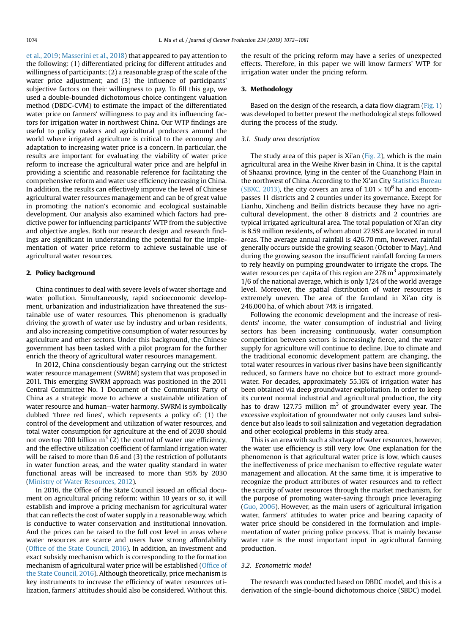<span id="page-2-0"></span>[et al., 2019;](#page-9-0) [Masserini et al., 2018\)](#page-9-0) that appeared to pay attention to the following: (1) differentiated pricing for different attitudes and willingness of participants; (2) a reasonable grasp of the scale of the water price adjustment; and (3) the influence of participants' subjective factors on their willingness to pay. To fill this gap, we used a double-bounded dichotomous choice contingent valuation method (DBDC-CVM) to estimate the impact of the differentiated water price on farmers' willingness to pay and its influencing factors for irrigation water in northwest China. Our WTP findings are useful to policy makers and agricultural producers around the world where irrigated agriculture is critical to the economy and adaptation to increasing water price is a concern. In particular, the results are important for evaluating the viability of water price reform to increase the agricultural water price and are helpful in providing a scientific and reasonable reference for facilitating the comprehensive reform and water use efficiency increasing in China. In addition, the results can effectively improve the level of Chinese agricultural water resources management and can be of great value in promoting the nation's economic and ecological sustainable development. Our analysis also examined which factors had predictive power for influencing participants' WTP from the subjective and objective angles. Both our research design and research findings are significant in understanding the potential for the implementation of water price reform to achieve sustainable use of agricultural water resources.

## 2. Policy background

China continues to deal with severe levels of water shortage and water pollution. Simultaneously, rapid socioeconomic development, urbanization and industrialization have threatened the sustainable use of water resources. This phenomenon is gradually driving the growth of water use by industry and urban residents, and also increasing competitive consumption of water resources by agriculture and other sectors. Under this background, the Chinese government has been tasked with a pilot program for the further enrich the theory of agricultural water resources management.

In 2012, China conscientiously began carrying out the strictest water resource management (SWRM) system that was proposed in 2011. This emerging SWRM approach was positioned in the 2011 Central Committee No. 1 Document of the Communist Party of China as a strategic move to achieve a sustainable utilization of water resource and human-water harmony. SWRM is symbolically dubbed 'three red lines', which represents a policy of: (1) the control of the development and utilization of water resources, and total water consumption for agriculture at the end of 2030 should not overtop 700 billion  $m^3$  (2) the control of water use efficiency, and the effective utilization coefficient of farmland irrigation water will be raised to more than 0.6 and (3) the restriction of pollutants in water function areas, and the water quality standard in water functional areas will be increased to more than 95% by 2030 ([Ministry of Water Resources, 2012\)](#page-9-0).

In 2016, the Office of the State Council issued an official document on agricultural pricing reform: within 10 years or so, it will establish and improve a pricing mechanism for agricultural water that can reflects the cost of water supply in a reasonable way, which is conductive to water conservation and institutional innovation. And the prices can be raised to the full cost level in areas where water resources are scarce and users have strong affordability (Offi[ce of the State Council, 2016](#page-9-0)). In addition, an investment and exact subsidy mechanism which is corresponding to the formation mechanism of agricultural water price will be established (Offi[ce of](#page-9-0) [the State Council, 2016\)](#page-9-0). Although theoretically, price mechanism is key instruments to increase the efficiency of water resources utilization, farmers' attitudes should also be considered. Without this, the result of the pricing reform may have a series of unexpected effects. Therefore, in this paper we will know farmers' WTP for irrigation water under the pricing reform.

#### 3. Methodology

Based on the design of the research, a data flow diagram ([Fig. 1\)](#page-3-0) was developed to better present the methodological steps followed during the process of the study.

## 3.1. Study area description

The study area of this paper is Xi'an [\(Fig. 2\)](#page-3-0), which is the main agricultural area in the Weihe River basin in China. It is the capital of Shaanxi province, lying in the center of the Guanzhong Plain in the northwest of China. According to the Xi'an City [Statistics Bureau](#page-9-0) [\(SBXC, 2013\)](#page-9-0), the city covers an area of  $1.01 \times 10^6$  ha and encompasses 11 districts and 2 counties under its governance. Except for Lianhu, Xincheng and Beilin districts because they have no agricultural development, the other 8 districts and 2 countries are typical irrigated agricultural area. The total population of Xi'an city is 8.59 million residents, of whom about 27.95% are located in rural areas. The average annual rainfall is 426.70 mm, however, rainfall generally occurs outside the growing season (October to May). And during the growing season the insufficient rainfall forcing farmers to rely heavily on pumping groundwater to irrigate the crops. The water resources per capita of this region are  $278 \text{ m}^3$  approximately 1/6 of the national average, which is only 1/24 of the world average level. Moreover, the spatial distribution of water resources is extremely uneven. The area of the farmland in Xi'an city is 246,000 ha, of which about 74% is irrigated.

Following the economic development and the increase of residents' income, the water consumption of industrial and living sectors has been increasing continuously, water consumption competition between sectors is increasingly fierce, and the water supply for agriculture will continue to decline. Due to climate and the traditional economic development pattern are changing, the total water resources in various river basins have been significantly reduced, so farmers have no choice but to extract more groundwater. For decades, approximately 55.16% of irrigation water has been obtained via deep groundwater exploitation. In order to keep its current normal industrial and agricultural production, the city has to draw 127.75 million  $m<sup>3</sup>$  of groundwater every year. The excessive exploitation of groundwater not only causes land subsidence but also leads to soil salinization and vegetation degradation and other ecological problems in this study area.

This is an area with such a shortage of water resources, however, the water use efficiency is still very low. One explanation for the phenomenon is that agricultural water price is low, which causes the ineffectiveness of price mechanism to effective regulate water management and allocation. At the same time, it is imperative to recognize the product attributes of water resources and to reflect the scarcity of water resources through the market mechanism, for the purpose of promoting water-saving through price leveraging ([Guo, 2006](#page-9-0)). However, as the main users of agricultural irrigation water, farmers' attitudes to water price and bearing capacity of water price should be considered in the formulation and implementation of water pricing police process. That is mainly because water rate is the most important input in agricultural farming production.

## 3.2. Econometric model

The research was conducted based on DBDC model, and this is a derivation of the single-bound dichotomous choice (SBDC) model.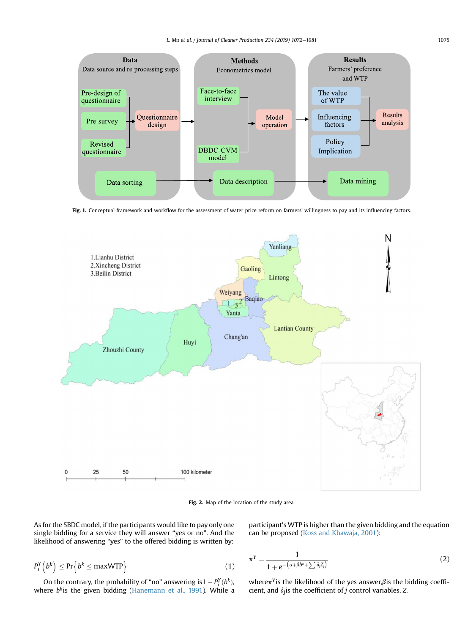<span id="page-3-0"></span>

Fig. 1. Conceptual framework and workflow for the assessment of water price reform on farmers' willingness to pay and its influencing factors.



Fig. 2. Map of the location of the study area.

As for the SBDC model, if the participants would like to pay only one single bidding for a service they will answer "yes or no". And the likelihood of answering "yes" to the offered bidding is written by:

$$
P_i^Y(b^k) \le \Pr\left\{b^k \le \max WTP\right\} \tag{1}
$$

On the contrary, the probability of "no" answering is  $1 - P_i^Y(b^k)$ , where  $b<sup>k</sup>$ is the given bidding [\(Hanemann et al., 1991\)](#page-9-0). While a participant's WTP is higher than the given bidding and the equation can be proposed [\(Koss and Khawaja, 2001\)](#page-9-0):

$$
\pi^Y = \frac{1}{1 + e^{-\left(\alpha + \beta b^k + \sum \delta_j Z_j\right)}}\tag{2}
$$

where $\pi$ <sup>Y</sup> is the likelihood of the yes answer,  $\beta$  is the bidding coefficient, and  $\delta_i$  is the coefficient of j control variables, Z.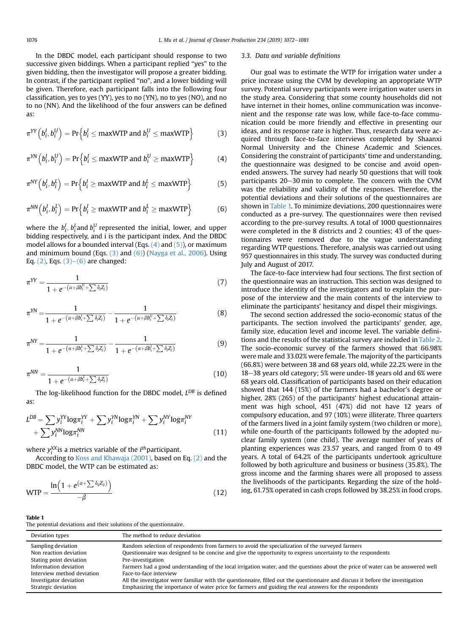<span id="page-4-0"></span>In the DBDC model, each participant should response to two successive given biddings. When a participant replied "yes" to the given bidding, then the investigator will propose a greater bidding. In contrast, if the participant replied "no", and a lower bidding will be given. Therefore, each participant falls into the following four classification, yes to yes (YY), yes to no (YN), no to yes (NO), and no to no (NN). And the likelihood of the four answers can be defined as:

$$
\pi^{YY}\left(b_i^l, b_i^U\right) = \Pr\left\{b_i^l \le \text{maxWTP} \text{ and } b_i^U \le \text{maxWTP}\right\} \tag{3}
$$

$$
\pi^{YN}\left(b_i^I, b_i^U\right) = \Pr\left\{b_i^I \le \text{maxWTP} \text{ and } b_i^U \ge \text{maxWTP}\right\} \tag{4}
$$

$$
\pi^{NY}\left(b_i^I, b_i^L\right) = \Pr\left\{b_i^I \ge \text{maxWTP} \text{ and } b_i^L \le \text{maxWTP}\right\} \tag{5}
$$

$$
\pi^{NN}\left(b_i^l, b_i^l\right) = \Pr\left\{b_i^l \ge \text{maxWTP} \text{ and } b_i^l \ge \text{maxWTP}\right\} \tag{6}
$$

where the  $b_i^l$ ,  $b_i^L$ and  $b_i^U$  represented the initial, lower, and upper bidding respectively, and i is the participant index. And the DBDC model allows for a bounded interval (Eqs.  $(4)$  and  $(5)$ ), or maximum and minimum bound (Eqs.  $(3)$  and  $(6)$ ) ([Nayga et al., 2006\)](#page-9-0). Using Eq.  $(2)$ , Eqs.  $(3)$ – $(6)$  are changed:

$$
\pi^{YY} = \frac{1}{1 + e^{-(\alpha + \beta b_i^U + \sum \delta_j Z_j)}}\tag{7}
$$

$$
\pi^{YN} = \frac{1}{1 + e^{-(\alpha + \beta b_i^l + \sum \delta_j Z_j)}} - \frac{1}{1 + e^{-(\alpha + \beta b_i^l + \sum \delta_j Z_j)}} \tag{8}
$$

$$
\pi^{NY} = \frac{1}{1 + e^{-(\alpha + \beta b_i^L + \sum \delta_j Z_j)}} - \frac{1}{1 + e^{-(\alpha + \beta b_i^L + \sum \delta_j Z_j)}} \tag{9}
$$

$$
\pi^{\text{NN}} = \frac{1}{1 + e^{-(\alpha + \beta b_i^L + \sum \delta_j Z_j)}}\tag{10}
$$

The log-likelihood function for the DBDC model,  $L^{DB}$  is defined as:

$$
L^{DB} = \sum y_i^{YY} \log \pi_i^{YY} + \sum y_i^{YN} \log \pi_i^{YN} + \sum y_i^{NY} \log \pi_i^{NY} + \sum y_i^{NY} \log \pi_i^{NY}
$$
  
+ 
$$
\sum y_i^{NN} \log \pi_i^{NN}
$$
 (11)

where  $y_i^{XX}$  is a metrics variable of the  $i^{th}$  participant.

According to [Koss and Khawaja \(2001\)](#page-9-0), based on Eq. [\(2\)](#page-3-0) and the DBDC model, the WTP can be estimated as:

$$
WTP = \frac{\ln\left(1 + e^{(\alpha + \sum \delta_{ij} Z_{ij})}\right)}{-\beta}
$$
\n(12)

#### 3.3. Data and variable definitions

Our goal was to estimate the WTP for irrigation water under a price increase using the CVM by developing an appropriate WTP survey. Potential survey participants were irrigation water users in the study area. Considering that some county households did not have internet in their homes, online communication was inconvenient and the response rate was low, while face-to-face communication could be more friendly and effective in presenting our ideas, and its response rate is higher. Thus, research data were acquired through face-to-face interviews completed by Shaanxi Normal University and the Chinese Academic and Sciences. Considering the constraint of participants' time and understanding, the questionnaire was designed to be concise and avoid openended answers. The survey had nearly 50 questions that will took participants 20–30 min to complete. The concern with the CVM was the reliability and validity of the responses. Therefore, the potential deviations and their solutions of the questionnaires are shown in Table 1. To minimize deviations, 200 questionnaires were conducted as a pre-survey. The questionnaires were then revised according to the pre-survey results. A total of 1000 questionnaires were completed in the 8 districts and 2 counties; 43 of the questionnaires were removed due to the vague understanding regarding WTP questions. Therefore, analysis was carried out using 957 questionnaires in this study. The survey was conducted during July and August of 2017.

The face-to-face interview had four sections. The first section of the questionnaire was an instruction. This section was designed to introduce the identity of the investigators and to explain the purpose of the interview and the main contents of the interview to eliminate the participants' hesitancy and dispel their misgivings.

The second section addressed the socio-economic status of the participants. The section involved the participants' gender, age, family size, education level and income level. The variable definitions and the results of the statistical survey are included in [Table 2.](#page-5-0) The socio-economic survey of the farmers showed that 66.98% were male and 33.02% were female. The majority of the participants (66.8%) were between 38 and 68 years old, while 22.2% were in the 18-38 years old category; 5% were under-18 years old and 6% were 68 years old. Classification of participants based on their education showed that 144 (15%) of the farmers had a bachelor's degree or higher, 28% (265) of the participants' highest educational attainment was high school, 451 (47%) did not have 12 years of compulsory education, and 97 (10%) were illiterate. Three quarters of the farmers lived in a joint family system (two children or more), while one-fourth of the participants followed by the adopted nuclear family system (one child). The average number of years of planting experiences was 23.57 years, and ranged from 0 to 49 years. A total of 64.2% of the participants undertook agriculture followed by both agriculture and business or business (35.8%). The gross income and the farming shares were all proposed to assess the livelihoods of the participants. Regarding the size of the holding, 61.75% operated in cash crops followed by 38.25% in food crops.

#### Table 1

The potential deviations and their solutions of the questionnaire.

| Deviation types            | The method to reduce deviation                                                                                                  |
|----------------------------|---------------------------------------------------------------------------------------------------------------------------------|
| Sampling deviation         | Random selection of respondents from farmers to avoid the specialization of the surveyed farmers                                |
| Non reaction deviation     | Questionnaire was designed to be concise and give the opportunity to express uncertainty to the respondents                     |
| Stating point deviation    | Pre-investigation                                                                                                               |
| Information deviation      | Farmers had a good understanding of the local irrigation water, and the questions about the price of water can be answered well |
| Interview method deviation | Face-to-face interview                                                                                                          |
| Investigator deviation     | All the investigator were familiar with the questionnaire, filled out the questionnaire and discuss it before the investigation |
| Strategic deviation        | Emphasizing the importance of water price for farmers and guiding the real answers for the respondents                          |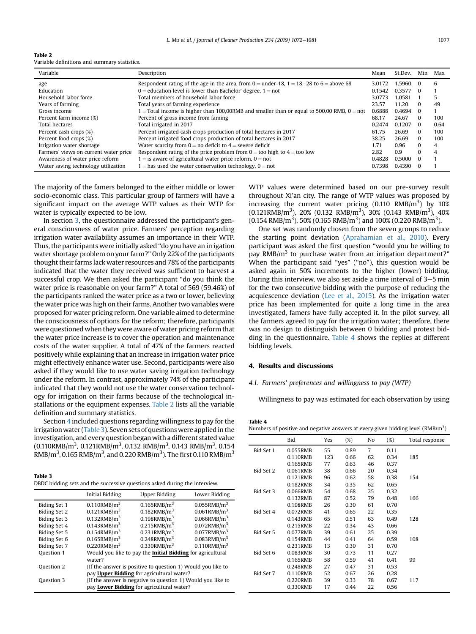<span id="page-5-0"></span>

| Table 2                                      |  |
|----------------------------------------------|--|
| Variable definitions and summary statistics. |  |

| Variable                              | Description                                                                                  | Mean   | St.Dev. | Min      | Max  |
|---------------------------------------|----------------------------------------------------------------------------------------------|--------|---------|----------|------|
| age                                   | Respondent rating of the age in the area, from $0 =$ under-18, $1 = 18-28$ to $6 =$ above 68 | 3.0172 | 1.5960  | 0        | 6    |
| Education                             | $0 =$ education level is lower than Bachelor' degree, $1 =$ not                              | 0.1542 | 0.3577  | 0        |      |
| Household labor force                 | Total members of household labor force                                                       | 3.0773 | 1.0581  |          | 5    |
| Years of farming                      | Total years of farming experience                                                            | 23.57  | 11.20   | $\Omega$ | 49   |
| Gross income                          | $=$ Total income is higher than 100,00RMB and smaller than or equal to 500,00 RMB, $0=$ not  | 0.6888 | 0.4694  | $\Omega$ |      |
| Percent farm income (%)               | Percent of gross income from faming                                                          | 68.17  | 24.67   | $\Omega$ | 100  |
| <b>Total hectares</b>                 | Total irrigated in 2017                                                                      | 0.2474 | 0.1207  | $\Omega$ | 0.64 |
| Percent cash crops (%)                | Percent irrigated cash crops production of total hectares in 2017                            | 61.75  | 26.69   | $\Omega$ | 100  |
| Percent food crops (%)                | Percent irrigated food crops production of total hectares in 2017                            | 38.25  | 26.69   | $\Omega$ | 100  |
| Irrigation water shortage             | Water scarcity from $0 =$ no deficit to $4 =$ severe deficit                                 | 1.71   | 0.96    | $\Omega$ | 4    |
| Farmers' views on current water price | Respondent rating of the price problem from $0 =$ too high to $4 =$ too low                  | 2.82   | 0.9     | $\Omega$ | 4    |
| Awareness of water price reform       | $1 =$ is aware of agricultural water price reform, $0 =$ not                                 | 0.4828 | 0.5000  | $\Omega$ |      |
| Water saving technology utilization   | $1 =$ has used the water conservation technology, $0 =$ not                                  | 0.7398 | 0.4390  |          |      |

The majority of the famers belonged to the either middle or lower socio-economic class. This particular group of farmers will have a significant impact on the average WTP values as their WTP for water is typically expected to be low.

In section [3](#page-2-0), the questionnaire addressed the participant's general consciousness of water price. Farmers' perception regarding irrigation water availability assumes an importance in their WTP. Thus, the participants were initially asked "do you have an irrigation water shortage problem on your farm?" Only 22% of the participants thought their farms lack water resources and 78% of the participants indicated that the water they received was sufficient to harvest a successful crop. We then asked the participant "do you think the water price is reasonable on your farm?" A total of 569 (59.46%) of the participants ranked the water price as a two or lower, believing the water price was high on their farms. Another two variables were proposed for water pricing reform. One variable aimed to determine the consciousness of options for the reform; therefore, participants were questioned when they were aware of water pricing reform that the water price increase is to cover the operation and maintenance costs of the water supplier. A total of 47% of the farmers reacted positively while explaining that an increase in irrigation water price might effectively enhance water use. Second, participants were also asked if they would like to use water saving irrigation technology under the reform. In contrast, approximately 74% of the participant indicated that they would not use the water conservation technology for irrigation on their farms because of the technological installations or the equipment expenses. Table 2 lists all the variable definition and summary statistics.

Section 4 included questions regarding willingness to pay for the irrigation water (Table 3). Seven sets of questions were applied in the investigation, and every question beganwith a different stated value (0.110RMB/m $^3$ , 0.121RMB/m $^3$ , 0.132 RMB/m $^3$ , 0.143 RMB/m $^3$ , 0.154 RMB/m $^3$ , 0.165 RMB/m $^3$ , and 0.220 RMB/m $^3$ ). The first 0.110 RMB/m $^3$ 

Table 3 DBDC bidding sets and the successive questions asked during the interview.

|                                           | Initial Bidding            | <b>Upper Bidding</b>                                        | Lower Bidding              |
|-------------------------------------------|----------------------------|-------------------------------------------------------------|----------------------------|
| Biding Set 1                              | $0.110$ RMB/m <sup>3</sup> | $0.165$ RMB/m <sup>3</sup>                                  | $0.055$ RMB/m <sup>3</sup> |
| Biding Set 2                              | $0.121$ RMB/m <sup>3</sup> | $0.182$ RMB/m <sup>3</sup>                                  | $0.061$ RMB/m <sup>3</sup> |
| <b>Biding Set 3</b>                       | $0.132$ RMB/m <sup>3</sup> | $0.198$ RMB/m <sup>3</sup>                                  | $0.066$ RMB/ $m3$          |
| Biding Set 4                              | $0.143$ RMB/m <sup>3</sup> | $0.215$ RMB/m <sup>3</sup>                                  | $0.072$ RMB/m <sup>3</sup> |
| Biding Set 5                              | $0.154$ RMB/m <sup>3</sup> | $0.231$ RMB/m <sup>3</sup>                                  | $0.077$ RMB/m <sup>3</sup> |
| Biding Set 6                              | $0.165$ RMB/m <sup>3</sup> | $0.248$ RMB/m <sup>3</sup>                                  | $0.083$ RMB/m <sup>3</sup> |
| Biding Set 7                              | $0.220$ RMB/m <sup>3</sup> | $0.330$ RMB/m <sup>3</sup>                                  | $0.110$ RMB/m <sup>3</sup> |
| Ouestion 1                                |                            | Would you like to pay the Initial Bidding for agricultural  |                            |
|                                           | water?                     |                                                             |                            |
| Question 2                                |                            | (If the answer is positive to question 1) Would you like to |                            |
| pay Upper Bidding for agricultural water? |                            |                                                             |                            |
| Question 3                                |                            | (If the answer is negative to question 1) Would you like to |                            |
|                                           |                            | pay Lower Bidding for agricultural water?                   |                            |

WTP values were determined based on our pre-survey result throughout Xi'an city. The range of WTP values was proposed by increasing the current water pricing  $(0.110 \text{ RMB/m}^3)$  by 10%  $(0.121\text{RMB/m}^3)$ , 20%  $(0.132 \text{ RMB/m}^3)$ , 30%  $(0.143 \text{ RMB/m}^3)$ , 40%  $(0.154 \text{ RMB/m}^3)$ , 50% (0.165 RMB/m<sup>3</sup>) and 100% (0.220 RMB/m<sup>3</sup>).

One set was randomly chosen from the seven groups to reduce the starting point deviation ([Aprahamian et al., 2010](#page-8-0)). Every participant was asked the first question "would you be willing to pay RMB/m<sup>3</sup> to purchase water from an irrigation department?" When the participant said "yes" ("no"), this question would be asked again in 50% increments to the higher (lower) bidding. During this interview, we also set aside a time interval of  $3-5$  min for the two consecutive bidding with the purpose of reducing the acquiescence deviation [\(Lee et al., 2015](#page-9-0)). As the irrigation water price has been implemented for quite a long time in the area investigated, famers have fully accepted it. In the pilot survey, all the farmers agreed to pay for the irrigation water; therefore, there was no design to distinguish between 0 bidding and protest bidding in the questionnaire. Table 4 shows the replies at different bidding levels.

## 4. Results and discussions

## 4.1. Farmers' preferences and willingness to pay (WTP)

Willingness to pay was estimated for each observation by using

| Table 4                                                                            |  |
|------------------------------------------------------------------------------------|--|
| Numbers of positive and negative answers at every given bidding level $(RMB/m3)$ . |  |

| 7<br>Bid Set 1<br>0.055RMB<br>55<br>0.89<br>0.11<br>62<br>0.110RMB<br>123<br>0.66<br>0.34<br>185<br>0.165RMB<br>77<br>0.63<br>46<br>0.37<br>Bid Set 2<br>0.061RMB<br>38<br>0.66<br>20<br>0.34<br>0.121RMB<br>96<br>0.62<br>58<br>0.38<br>154<br>0.182RMB<br>0.35<br>62<br>0.65<br>34<br>Bid Set 3<br>0.066RMB<br>0.68<br>25<br>54<br>0.32<br>0.132RMB<br>79<br>87<br>0.52<br>0.48<br>166<br>0.30<br>0.198RMB<br>26<br>61<br>0.70<br>Bid Set 4<br>41<br>0.072RMB<br>0.65<br>22<br>0.35<br>63<br>0.143RMB<br>65<br>0.51<br>0.49<br>128<br>0.215RMB<br>22<br>0.34<br>43<br>0.66<br>Bid Set 5<br>0.077RMB<br>39<br>0.61<br>25<br>0.39 |  |
|-----------------------------------------------------------------------------------------------------------------------------------------------------------------------------------------------------------------------------------------------------------------------------------------------------------------------------------------------------------------------------------------------------------------------------------------------------------------------------------------------------------------------------------------------------------------------------------------------------------------------------------|--|
|                                                                                                                                                                                                                                                                                                                                                                                                                                                                                                                                                                                                                                   |  |
|                                                                                                                                                                                                                                                                                                                                                                                                                                                                                                                                                                                                                                   |  |
|                                                                                                                                                                                                                                                                                                                                                                                                                                                                                                                                                                                                                                   |  |
|                                                                                                                                                                                                                                                                                                                                                                                                                                                                                                                                                                                                                                   |  |
|                                                                                                                                                                                                                                                                                                                                                                                                                                                                                                                                                                                                                                   |  |
|                                                                                                                                                                                                                                                                                                                                                                                                                                                                                                                                                                                                                                   |  |
|                                                                                                                                                                                                                                                                                                                                                                                                                                                                                                                                                                                                                                   |  |
|                                                                                                                                                                                                                                                                                                                                                                                                                                                                                                                                                                                                                                   |  |
|                                                                                                                                                                                                                                                                                                                                                                                                                                                                                                                                                                                                                                   |  |
|                                                                                                                                                                                                                                                                                                                                                                                                                                                                                                                                                                                                                                   |  |
|                                                                                                                                                                                                                                                                                                                                                                                                                                                                                                                                                                                                                                   |  |
|                                                                                                                                                                                                                                                                                                                                                                                                                                                                                                                                                                                                                                   |  |
|                                                                                                                                                                                                                                                                                                                                                                                                                                                                                                                                                                                                                                   |  |
| 108<br>0.154RMB<br>44<br>0.41<br>64<br>0.59                                                                                                                                                                                                                                                                                                                                                                                                                                                                                                                                                                                       |  |
| 0.231RMB<br>13<br>0.30<br>31<br>0.70                                                                                                                                                                                                                                                                                                                                                                                                                                                                                                                                                                                              |  |
| Bid Set 6<br>0.083RMB<br>11<br>30<br>0.73<br>0.27                                                                                                                                                                                                                                                                                                                                                                                                                                                                                                                                                                                 |  |
| 0.165RMB<br>58<br>0.59<br>41<br>0.41<br>99                                                                                                                                                                                                                                                                                                                                                                                                                                                                                                                                                                                        |  |
| 0.248RMB<br>27<br>0.47<br>31<br>0.53                                                                                                                                                                                                                                                                                                                                                                                                                                                                                                                                                                                              |  |
| Bid Set 7<br>0.110RMB<br>52<br>26<br>0.67<br>0.28                                                                                                                                                                                                                                                                                                                                                                                                                                                                                                                                                                                 |  |
| 0.220RMB<br>39<br>0.33<br>78<br>0.67<br>117                                                                                                                                                                                                                                                                                                                                                                                                                                                                                                                                                                                       |  |
| 0.330RMB<br>17<br>22<br>0.44<br>0.56                                                                                                                                                                                                                                                                                                                                                                                                                                                                                                                                                                                              |  |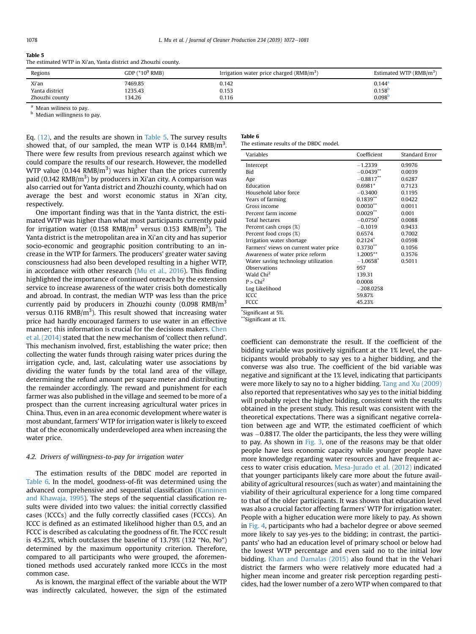#### Table 5

The estimated WTP in Xi'an, Yanta district and Zhouzhi county.

| Regions        | GDP $(^*10^9$ RMB) | Irrigation water price charged ( $RMB/m3$ ) | Estimated WTP $(RMB/m3)$ |
|----------------|--------------------|---------------------------------------------|--------------------------|
| Xi'an          | 7469.85            | 0.142                                       | $0.144$ <sup>a</sup>     |
| Yanta district | 1235.43            | 0.153                                       | 0.158 <sup>b</sup>       |
| Zhouzhi county | 134.26             | 0.116                                       | 0.098 <sup>b</sup>       |

Mean wiliness to pay.

**b** Median willingness to pay.

Eq. [\(12\)](#page-4-0), and the results are shown in Table 5. The survey results showed that, of our sampled, the mean WTP is 0.144 RMB/m<sup>3</sup>. There were few results from previous research against which we could compare the results of our research. However, the modelled WTP value (0.144 RMB/m<sup>3</sup>) was higher than the prices currently paid (0.142 RMB/m<sup>3</sup>) by producers in Xi'an city. A comparison was also carried out for Yanta district and Zhouzhi county, which had on average the best and worst economic status in Xi'an city, respectively.

One important finding was that in the Yanta district, the estimated WTP was higher than what most participants currently paid for irrigation water (0.158 RMB/m $^3$  versus 0.153 RMB/m $^3$ ). The Yanta district is the metropolitan area in Xi'an city and has superior socio-economic and geographic position contributing to an increase in the WTP for farmers. The producers' greater water saving consciousness had also been developed resulting in a higher WTP, in accordance with other research [\(Mu et al., 2016\)](#page-9-0). This finding highlighted the importance of continued outreach by the extension service to increase awareness of the water crisis both domestically and abroad. In contrast, the median WTP was less than the price currently paid by producers in Zhouzhi county  $(0.098 \text{ RMB/m}^3)$ versus 0.116 RMB/m<sup>3</sup>). This result showed that increasing water price had hardly encouraged farmers to use water in an effective manner; this information is crucial for the decisions makers. [Chen](#page-9-0) [et al. \(2014\)](#page-9-0) stated that the new mechanism of 'collect then refund'. This mechanism involved, first, establishing the water price; then collecting the water funds through raising water prices during the irrigation cycle, and, last, calculating water use associations by dividing the water funds by the total land area of the village, determining the refund amount per square meter and distributing the remainder accordingly. The reward and punishment for each farmer was also published in the village and seemed to be more of a prospect than the current increasing agricultural water prices in China. Thus, even in an area economic development where water is most abundant, farmers' WTP for irrigation water is likely to exceed that of the economically underdeveloped area when increasing the water price.

#### 4.2. Drivers of willingness-to-pay for irrigation water

The estimation results of the DBDC model are reported in Table 6. In the model, goodness-of-fit was determined using the advanced comprehensive and sequential classification ([Kanninen](#page-9-0) [and Khawaja, 1995](#page-9-0)). The steps of the sequential classification results were divided into two values: the initial correctly classified cases (ICCCs) and the fully correctly classified cases (FCCCs). An ICCC is defined as an estimated likelihood higher than 0.5, and an FCCC is described as calculating the goodness of fit. The FCCC result is 45.23%, which outclasses the baseline of 13.79% (132 "No, No") determined by the maximum opportunity criterion. Therefore, compared to all participants who were grouped, the aforementioned methods used accurately ranked more ICCCs in the most common case.

As is known, the marginal effect of the variable about the WTP was indirectly calculated, however, the sign of the estimated

## Table 6

The estimate results of the DBDC model.

| Variables                             | Coefficient            | Standard Error |
|---------------------------------------|------------------------|----------------|
| Intercept                             | $-1.2339$              | 0.9976         |
| <b>Bid</b>                            | $-0.0439**$            | 0.0039         |
| Age                                   | $-0.8817***$           | 0.6287         |
| Education                             | $0.6981*$              | 0.7123         |
| Household labor force                 | $-0.3400$              | 0.1195         |
| Years of farming                      | $0.1839**$             | 0.0422         |
| Gross income                          | $0.0030$ **            | 0.0011         |
| Percent farm income                   | $0.0029$ **            | 0.001          |
| <b>Total hectares</b>                 | $-0.0750*$             | 0.0088         |
| Percent cash crops (%)                | $-0.1019$              | 0.9433         |
| Percent food crops (%)                | 0.6574                 | 0.7002         |
| Irrigation water shortage             | $0.2124$ <sup>*</sup>  | 0.0598         |
| Farmers' views on current water price | $0.3730**$             | 0.1056         |
| Awareness of water price reform       | 1.2005**               | 0.3576         |
| Water saving technology utilization   | $-1.0658$ <sup>*</sup> | 0.5011         |
| Observations                          | 957                    |                |
| Wald Chi <sup>2</sup>                 | 139.31                 |                |
| $P >$ Chi <sup>2</sup>                | 0.0008                 |                |
| Log Likelihood                        | $-208.0258$            |                |
| <b>ICCC</b>                           | 59.87%                 |                |
| <b>FCCC</b>                           | 45.23%                 |                |

\* Significant at 5%.

\*Significant at 1%.

coefficient can demonstrate the result. If the coefficient of the bidding variable was positively significant at the 1% level, the participants would probably to say yes to a higher bidding, and the converse was also true. The coefficient of the bid variable was negative and significant at the 1% level, indicating that participants were more likely to say no to a higher bidding. [Tang and Xu \(2009\)](#page-9-0) also reported that representatives who say yes to the initial bidding will probably reject the higher bidding, consistent with the results obtained in the present study. This result was consistent with the theoretical expectations. There was a significant negative correlation between age and WTP, the estimated coefficient of which was  $-0.8817$ . The older the participants, the less they were willing to pay. As shown in [Fig. 3,](#page-7-0) one of the reasons may be that older people have less economic capacity while younger people have more knowledge regarding water resources and have frequent access to water crisis education. [Mesa-Jurado et al. \(2012\)](#page-9-0) indicated that younger participants likely care more about the future availability of agricultural resources (such as water) and maintaining the viability of their agricultural experience for a long time compared to that of the older participants. It was shown that education level was also a crucial factor affecting farmers' WTP for irrigation water. People with a higher education were more likely to pay. As shown in [Fig. 4,](#page-7-0) participants who had a bachelor degree or above seemed more likely to say yes-yes to the bidding; in contrast, the participants' who had an education level of primary school or below had the lowest WTP percentage and even said no to the initial low bidding. [Khan and Damalas \(2015\)](#page-9-0) also found that in the Vehari district the farmers who were relatively more educated had a higher mean income and greater risk perception regarding pesticides, had the lower number of a zero WTP when compared to that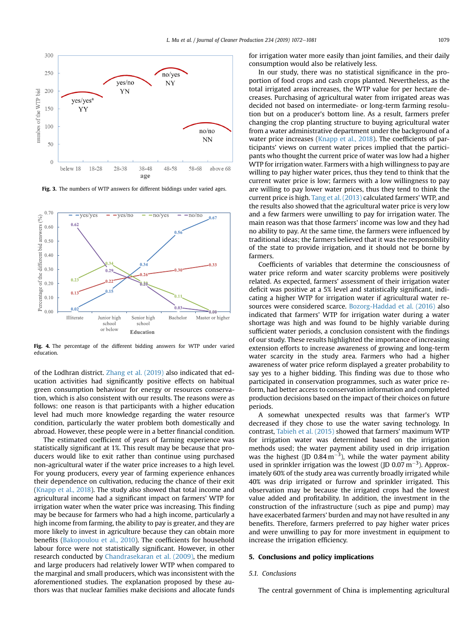<span id="page-7-0"></span>

Fig. 3. The numbers of WTP answers for different biddings under varied ages.



Fig. 4. The percentage of the different bidding answers for WTP under varied education.

of the Lodhran district. [Zhang et al. \(2019\)](#page-9-0) also indicated that education activities had significantly positive effects on habitual green consumption behaviour for energy or resources conservation, which is also consistent with our results. The reasons were as follows: one reason is that participants with a higher education level had much more knowledge regarding the water resource condition, particularly the water problem both domestically and abroad. However, these people were in a better financial condition.

The estimated coefficient of years of farming experience was statistically significant at 1%. This result may be because that producers would like to exit rather than continue using purchased non-agricultural water if the water price increases to a high level. For young producers, every year of farming experience enhances their dependence on cultivation, reducing the chance of their exit ([Knapp et al., 2018\)](#page-9-0). The study also showed that total income and agricultural income had a significant impact on farmers' WTP for irrigation water when the water price was increasing. This finding may be because for farmers who had a high income, particularly a high income from farming, the ability to pay is greater, and they are more likely to invest in agriculture because they can obtain more benefits ([Bakopoulou et al., 2010](#page-9-0)). The coefficients for household labour force were not statistically significant. However, in other research conducted by [Chandrasekaran et al. \(2009\),](#page-9-0) the medium and large producers had relatively lower WTP when compared to the marginal and small producers, which was inconsistent with the aforementioned studies. The explanation proposed by these authors was that nuclear families make decisions and allocate funds for irrigation water more easily than joint families, and their daily consumption would also be relatively less.

In our study, there was no statistical significance in the proportion of food crops and cash crops planted. Nevertheless, as the total irrigated areas increases, the WTP value for per hectare decreases. Purchasing of agricultural water from irrigated areas was decided not based on intermediate- or long-term farming resolution but on a producer's bottom line. As a result, farmers prefer changing the crop planting structure to buying agricultural water from a water administrative department under the background of a water price increases [\(Knapp et al., 2018\)](#page-9-0). The coefficients of participants' views on current water prices implied that the participants who thought the current price of water was low had a higher WTP for irrigation water. Farmers with a high willingness to pay are willing to pay higher water prices, thus they tend to think that the current water price is low; farmers with a low willingness to pay are willing to pay lower water prices, thus they tend to think the current price is high. [Tang et al. \(2013\)](#page-9-0) calculated farmers' WTP, and the results also showed that the agricultural water price is very low and a few farmers were unwilling to pay for irrigation water. The main reason was that those farmers' income was low and they had no ability to pay. At the same time, the farmers were influenced by traditional ideas; the farmers believed that it was the responsibility of the state to provide irrigation, and it should not be borne by farmers.

Coefficients of variables that determine the consciousness of water price reform and water scarcity problems were positively related. As expected, farmers' assessment of their irrigation water deficit was positive at a 5% level and statistically significant, indicating a higher WTP for irrigation water if agricultural water resources were considered scarce. [Bozorg-Haddad et al. \(2016\)](#page-9-0) also indicated that farmers' WTP for irrigation water during a water shortage was high and was found to be highly variable during sufficient water periods, a conclusion consistent with the findings of our study. These results highlighted the importance of increasing extension efforts to increase awareness of growing and long-term water scarcity in the study area. Farmers who had a higher awareness of water price reform displayed a greater probability to say yes to a higher bidding. This finding was due to those who participated in conservation programmes, such as water price reform, had better access to conservation information and completed production decisions based on the impact of their choices on future periods.

A somewhat unexpected results was that farmer's WTP decreased if they chose to use the water saving technology. In contrast, [Tabieh et al. \(2015\)](#page-9-0) showed that farmers' maximum WTP for irrigation water was determined based on the irrigation methods used; the water payment ability used in drip irrigation was the highest (JD 0.84  $\text{m}^{-3}$ ), while the water payment ability used in sprinkler irrigation was the lowest (JD 0.07  $m^{-3}$ ). Approximately 60% of the study area was currently broadly irrigated while 40% was drip irrigated or furrow and sprinkler irrigated. This observation may be because the irrigated crops had the lowest value added and profitability. In addition, the investment in the construction of the infrastructure (such as pipe and pump) may have exacerbated farmers' burden and may not have resulted in any benefits. Therefore, farmers preferred to pay higher water prices and were unwilling to pay for more investment in equipment to increase the irrigation efficiency.

## 5. Conclusions and policy implications

## 5.1. Conclusions

The central government of China is implementing agricultural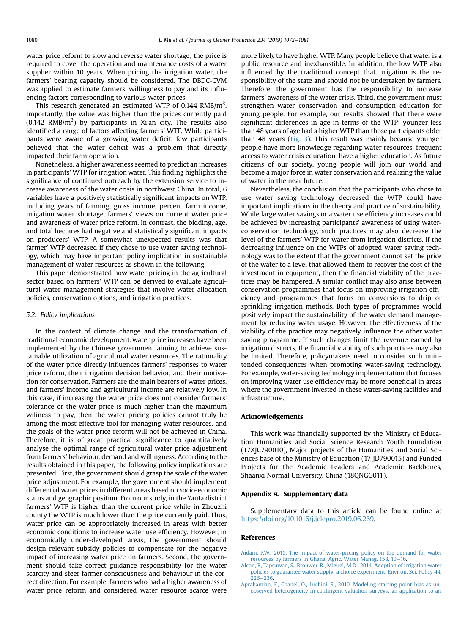<span id="page-8-0"></span>water price reform to slow and reverse water shortage; the price is required to cover the operation and maintenance costs of a water supplier within 10 years. When pricing the irrigation water, the farmers' bearing capacity should be considered. The DBDC-CVM was applied to estimate farmers' willingness to pay and its influencing factors corresponding to various water prices.

This research generated an estimated WTP of 0.144 RMB/m<sup>3</sup>. Importantly, the value was higher than the prices currently paid  $(0.142 \text{ RMB/m}^3)$  by participants in Xi'an city. The results also identified a range of factors affecting farmers' WTP. While participants were aware of a growing water deficit, few participants believed that the water deficit was a problem that directly impacted their farm operation.

Nonetheless, a higher awareness seemed to predict an increases in participants' WTP for irrigation water. This finding highlights the significance of continued outreach by the extension service to increase awareness of the water crisis in northwest China. In total, 6 variables have a positively statistically significant impacts on WTP, including years of farming, gross income, percent farm income, irrigation water shortage, farmers' views on current water price and awareness of water price reform. In contrast, the bidding, age, and total hectares had negative and statistically significant impacts on producers' WTP. A somewhat unexpected results was that farmer' WTP decreased if they chose to use water saving technology, which may have important policy implication in sustainable management of water resources as shown in the following.

This paper demonstrated how water pricing in the agricultural sector based on farmers' WTP can be derived to evaluate agricultural water management strategies that involve water allocation policies, conservation options, and irrigation practices.

## 5.2. Policy implications

In the context of climate change and the transformation of traditional economic development, water price increases have been implemented by the Chinese government aiming to achieve sustainable utilization of agricultural water resources. The rationality of the water price directly influences farmers' responses to water price reform, their irrigation decision behavior, and their motivation for conservation. Farmers are the main bearers of water prices, and farmers' income and agricultural income are relatively low. In this case, if increasing the water price does not consider farmers' tolerance or the water price is much higher than the maximum wiliness to pay, then the water pricing policies cannot truly be among the most effective tool for managing water resources, and the goals of the water price reform will not be achieved in China. Therefore, it is of great practical significance to quantitatively analyse the optimal range of agricultural water price adjustment from farmers' behaviour, demand and willingness. According to the results obtained in this paper, the following policy implications are presented. First, the government should grasp the scale of the water price adjustment. For example, the government should implement differential water prices in different areas based on socio-economic status and geographic position. From our study, in the Yanta district farmers' WTP is higher than the current price while in Zhouzhi county the WTP is much lower than the price currently paid. Thus, water price can be appropriately increased in areas with better economic conditions to increase water use efficiency. However, in economically under-developed areas, the government should design relevant subsidy policies to compensate for the negative impact of increasing water price on farmers. Second, the government should take correct guidance responsibility for the water scarcity and steer farmer consciousness and behaviour in the correct direction. For example, farmers who had a higher awareness of water price reform and considered water resource scarce were more likely to have higher WTP. Many people believe that water is a public resource and inexhaustible. In addition, the low WTP also influenced by the traditional concept that irrigation is the responsibility of the state and should not be undertaken by farmers. Therefore, the government has the responsibility to increase farmers' awareness of the water crisis. Third, the government must strengthen water conservation and consumption education for young people. For example, our results showed that there were significant differences in age in terms of the WTP; younger less than 48 years of age had a higher WTP than those participants older than 48 years [\(Fig. 3](#page-7-0)). This result was mainly because younger people have more knowledge regarding water resources, frequent access to water crisis education, have a higher education. As future citizens of our society, young people will join our world and become a major force in water conservation and realizing the value of water in the near future.

Nevertheless, the conclusion that the participants who chose to use water saving technology decreased the WTP could have important implications in the theory and practice of sustainability. While large water savings or a water use efficiency increases could be achieved by increasing participants' awareness of using waterconservation technology, such practices may also decrease the level of the farmers' WTP for water from irrigation districts. If the decreasing influence on the WTPs of adopted water saving technology was to the extent that the government cannot set the price of the water to a level that allowed them to recover the cost of the investment in equipment, then the financial viability of the practices may be hampered. A similar conflict may also arise between conservation programmes that focus on improving irrigation efficiency and programmes that focus on conversions to drip or sprinkling irrigation methods. Both types of programmes would positively impact the sustainability of the water demand management by reducing water usage. However, the effectiveness of the viability of the practice may negatively influence the other water saving programme. If such changes limit the revenue earned by irrigation districts, the financial viability of such practices may also be limited. Therefore, policymakers need to consider such unintended consequences when promoting water-saving technology. For example, water-saving technology implementation that focuses on improving water use efficiency may be more beneficial in areas where the government invested in these water-saving facilities and infrastructure.

## Acknowledgements

This work was financially supported by the Ministry of Education Humanities and Social Science Research Youth Foundation (17XJC790010), Major projects of the Humanities and Social Sciences base of the Ministry of Education (17JJD790015) and Funded Projects for the Academic Leaders and Academic Backbones, Shaanxi Normal University, China (18QNGG011).

## Appendix A. Supplementary data

Supplementary data to this article can be found online at [https://doi.org/10.1016/j.jclepro.2019.06.269.](https://doi.org/10.1016/j.jclepro.2019.06.269)

### References

- [Aidam, P.W., 2015. The impact of water-pricing policy on the demand for water](http://refhub.elsevier.com/S0959-6526(19)32234-6/sref1) [resources by farmers in Ghana. Agric. Water Manag. 158, 10](http://refhub.elsevier.com/S0959-6526(19)32234-6/sref1)-[16](http://refhub.elsevier.com/S0959-6526(19)32234-6/sref1).
- [Alcon, F., Tapsuwan, S., Brouwer, R., Miguel, M.D., 2014. Adoption of irrigation water](http://refhub.elsevier.com/S0959-6526(19)32234-6/sref2) [policies to guarantee water supply: a choice experiment. Environ. Sci. Policy 44,](http://refhub.elsevier.com/S0959-6526(19)32234-6/sref2)  $226 - 236$  $226 - 236$
- [Aprahamian, F., Chanel, O., Luchini, S., 2010. Modeling starting point bias as un](http://refhub.elsevier.com/S0959-6526(19)32234-6/sref3)[observed heterogeneity in contingent valuation surveys: an application to air](http://refhub.elsevier.com/S0959-6526(19)32234-6/sref3)